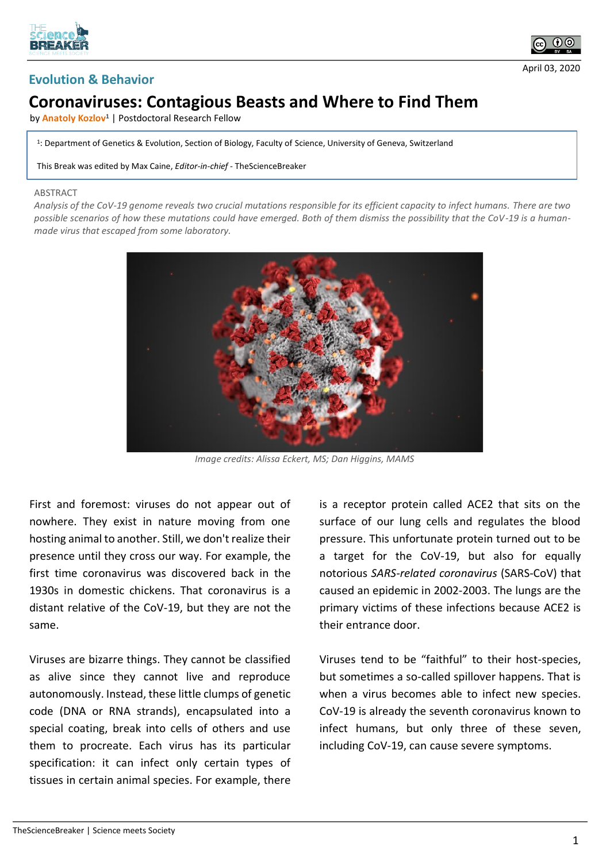





## **Coronaviruses: Contagious Beasts and Where to Find Them**

by **Anatoly Kozlov<sup>1</sup>** | Postdoctoral Research Fellow

1 : Department of Genetics & Evolution, Section of Biology, Faculty of Science, University of Geneva, Switzerland

This Break was edited by Max Caine, *Editor-in-chief* - TheScienceBreaker

## ABSTRACT

*Analysis of the CoV-19 genome reveals two crucial mutations responsible for its efficient capacity to infect humans. There are two possible scenarios of how these mutations could have emerged. Both of them dismiss the possibility that the CoV-19 is a humanmade virus that escaped from some laboratory.*



*Image credits: Alissa Eckert, MS; Dan Higgins, MAMS*

First and foremost: viruses do not appear out of nowhere. They exist in nature moving from one hosting animal to another. Still, we don't realize their presence until they cross our way. For example, the first time coronavirus was discovered back in the 1930s in domestic chickens. That coronavirus is a distant relative of the CoV-19, but they are not the same.

Viruses are bizarre things. They cannot be classified as alive since they cannot live and reproduce autonomously. Instead, these little clumps of genetic code (DNA or RNA strands), encapsulated into a special coating, break into cells of others and use them to procreate. Each virus has its particular specification: it can infect only certain types of tissues in certain animal species. For example, there

is a receptor protein called ACE2 that sits on the surface of our lung cells and regulates the blood pressure. This unfortunate protein turned out to be a target for the CoV-19, but also for equally notorious *SARS-related coronavirus* (SARS-CoV) that caused an epidemic in 2002-2003. The lungs are the primary victims of these infections because ACE2 is their entrance door.

Viruses tend to be "faithful" to their host-species, but sometimes a so-called spillover happens. That is when a virus becomes able to infect new species. CoV-19 is already the seventh coronavirus known to infect humans, but only three of these seven, including CoV-19, can cause severe symptoms.